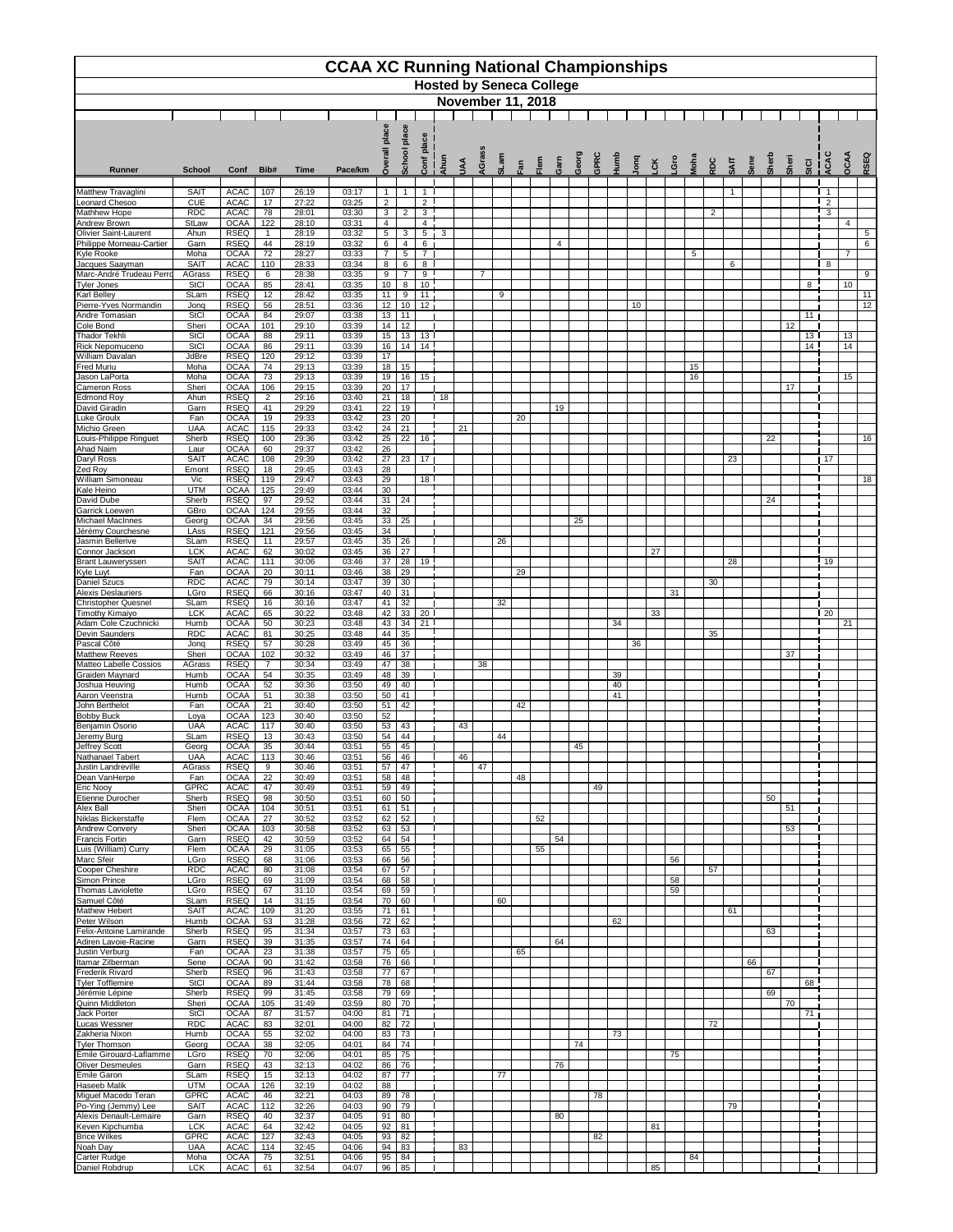|                                                     |                            |                            |                       |                | <b>CCAA XC Running National Championships</b> |                                   |                       |                                   | <b>Hosted by Seneca College</b> |     |                |      |     |      |      |      |      |                         |     |                |     |      |                |             |      |       |      |                 |                                           |                |             |
|-----------------------------------------------------|----------------------------|----------------------------|-----------------------|----------------|-----------------------------------------------|-----------------------------------|-----------------------|-----------------------------------|---------------------------------|-----|----------------|------|-----|------|------|------|------|-------------------------|-----|----------------|-----|------|----------------|-------------|------|-------|------|-----------------|-------------------------------------------|----------------|-------------|
|                                                     | <b>November 11, 2018</b>   |                            |                       |                |                                               |                                   |                       |                                   |                                 |     |                |      |     |      |      |      |      |                         |     |                |     |      |                |             |      |       |      |                 |                                           |                |             |
|                                                     |                            |                            |                       |                |                                               | ဗီ<br>$\frac{a}{2}$               | place                 |                                   |                                 |     |                |      |     |      |      |      |      |                         |     |                |     |      |                |             |      |       |      |                 |                                           |                |             |
|                                                     |                            |                            |                       |                |                                               |                                   | <b>School</b>         | lace<br>ᇗ                         |                                 |     |                |      |     |      |      |      |      |                         |     |                |     |      |                |             |      |       |      |                 | ပ<br>ৰ                                    |                |             |
| <b>Runner</b>                                       | <b>School</b>              | Conf                       | Bib#                  | <b>Time</b>    | Pace/km                                       | Ó.                                |                       | Conf                              | Ahun                            | SAU | <b>AGrass</b>  | SLam | Fan | Flem | Garn | Geor | GPRC | $\overline{\mathbf{g}}$ | ong | 5 <sup>2</sup> | Gro | Moha | RDC            | <b>SAIT</b> | Sene | Sherl | Sher | StCI            | ပ္ခဲ                                      | OCAA           | <b>RSEQ</b> |
| <b>Matthew Travaglini</b><br><b>Leonard Chesoo</b>  | <b>SAIT</b><br><b>CUE</b>  | <b>ACAC</b><br><b>ACAC</b> | 107<br>17             | 26:19<br>27:22 | 03:17<br>03:25                                | $\overline{1}$<br>2               | -1                    | $\overline{1}$<br>$\overline{2}$  |                                 |     |                |      |     |      |      |      |      |                         |     |                |     |      |                |             |      |       |      |                 | $\overline{\mathbf{1}}$<br>$\overline{2}$ |                |             |
| <b>Mathhew Hope</b>                                 | <b>RDC</b>                 | <b>ACAC</b>                | 78                    | 28:01          | 03:30                                         | $\mathbf{3}$                      | $\overline{2}$        | $\overline{3}$                    |                                 |     |                |      |     |      |      |      |      |                         |     |                |     |      | $\overline{2}$ |             |      |       |      |                 | 3                                         |                |             |
| <b>Andrew Brown</b><br><b>Olivier Saint-Laurent</b> | StLaw<br>Ahun              | <b>OCAA</b><br><b>RSEQ</b> | 122<br>$\mathbf 1$    | 28:10<br>28:19 | 03:31<br>03:32                                | $\overline{4}$<br>$5\phantom{.0}$ | 3                     | $\overline{4}$<br>$5\phantom{.0}$ | 3                               |     |                |      |     |      |      |      |      |                         |     |                |     |      |                |             |      |       |      |                 |                                           | 4              | 5           |
| Philippe Morneau-Cartier<br><b>Kyle Rooke</b>       | Garn<br>Moha               | <b>RSEQ</b><br><b>OCAA</b> | 44<br>72              | 28:19<br>28:27 | 03:32<br>03:33                                | $6\phantom{.}6$<br>$\overline{7}$ | 4<br>$\sqrt{5}$       | 6<br>$\overline{7}$               |                                 |     |                |      |     |      | 4    |      |      |                         |     |                |     | 5    |                |             |      |       |      |                 |                                           | $\overline{7}$ | 6           |
| Jacques Saayman                                     | <b>SAIT</b>                | <b>ACAC</b>                | 110                   | 28:33          | 03:34                                         | 8                                 | 6                     | 8                                 |                                 |     |                |      |     |      |      |      |      |                         |     |                |     |      |                | 6           |      |       |      |                 | - 8                                       |                |             |
| Marc-André Trudeau Perro<br><b>Tyler Jones</b>      | <b>AGrass</b><br>StCl      | <b>RSEQ</b><br><b>OCAA</b> | $6^{\circ}$<br>85     | 28:38<br>28:41 | 03:35<br>03:35                                | 9<br>10                           | $\overline{7}$<br>8   | 9<br>10                           |                                 |     | $\overline{7}$ |      |     |      |      |      |      |                         |     |                |     |      |                |             |      |       |      | 8               |                                           | 10             | 9           |
| <b>Karl Belley</b>                                  | SLam                       | <b>RSEQ</b>                | 12                    | 28:42          | 03:35                                         | 11                                | 9                     | 11                                |                                 |     |                | 9    |     |      |      |      |      |                         |     |                |     |      |                |             |      |       |      |                 |                                           |                | 11          |
| Pierre-Yves Normandin<br>Andre Tomasian             | Jonq<br>StCl               | <b>RSEQ</b><br><b>OCAA</b> | 56<br>84              | 28:51<br>29:07 | 03:36<br>03:38                                | 12<br>13                          | 10<br>11              | 12                                |                                 |     |                |      |     |      |      |      |      |                         | 10  |                |     |      |                |             |      |       |      | 11              |                                           |                | 12          |
| Cole Bond<br><b>Thador Tekhli</b>                   | Sheri<br>StCl              | <b>OCAA</b><br><b>OCAA</b> | 101<br>88             | 29:10<br>29:11 | 03:39<br>03:39                                | 14<br>15                          | 12<br>13              | 13 <sup>1</sup>                   |                                 |     |                |      |     |      |      |      |      |                         |     |                |     |      |                |             |      |       | 12   | 13 <sup>1</sup> |                                           | 13             |             |
| <b>Rick Nepomuceno</b>                              | <b>StCl</b>                | <b>OCAA</b>                | 86                    | 29:11          | 03:39                                         | 16                                | 14                    | $\overline{14}$                   |                                 |     |                |      |     |      |      |      |      |                         |     |                |     |      |                |             |      |       |      | $\overline{14}$ |                                           | 14             |             |
| <b>William Davalan</b><br><b>Fred Muriu</b>         | JdBre<br>Moha              | <b>RSEQ</b><br><b>OCAA</b> | 120<br>74             | 29:12<br>29:13 | 03:39<br>03:39                                | 17<br>18                          | 15                    |                                   |                                 |     |                |      |     |      |      |      |      |                         |     |                |     | 15   |                |             |      |       |      |                 |                                           |                |             |
| Jason LaPorta                                       | Moha                       | <b>OCAA</b>                | 73                    | 29:13          | 03:39                                         | 19                                | 16                    | 15                                |                                 |     |                |      |     |      |      |      |      |                         |     |                |     | 16   |                |             |      |       |      |                 |                                           | 15             |             |
| <b>Cameron Ross</b><br><b>Edmond Roy</b>            | Sheri<br>Ahun              | <b>OCAA</b><br><b>RSEQ</b> | 106<br>$\overline{2}$ | 29:15<br>29:16 | 03:39<br>03:40                                | 20<br>21                          | 17<br>18              |                                   | 18                              |     |                |      |     |      |      |      |      |                         |     |                |     |      |                |             |      |       | 17   |                 |                                           |                |             |
| David Giradin<br><b>Luke Groulx</b>                 | Garn<br>Fan                | <b>RSEQ</b><br><b>OCAA</b> | 41                    | 29:29          | 03:41<br>03:42                                | 22<br>23                          | 19                    |                                   |                                 |     |                |      |     |      | 19   |      |      |                         |     |                |     |      |                |             |      |       |      |                 |                                           |                |             |
| Michio Green                                        | <b>UAA</b>                 | <b>ACAC</b>                | 19<br>115             | 29:33<br>29:33 | 03:42                                         | 24                                | 20<br>21              |                                   |                                 | 21  |                |      | 20  |      |      |      |      |                         |     |                |     |      |                |             |      |       |      |                 |                                           |                |             |
| Louis-Philippe Ringuet<br><b>Ahad Naim</b>          | Sherb<br>Laur              | <b>RSEQ</b><br><b>OCAA</b> | 100<br>60             | 29:36<br>29:37 | 03:42<br>03:42                                | 25<br>26                          | 22                    | 16                                |                                 |     |                |      |     |      |      |      |      |                         |     |                |     |      |                |             |      | 22    |      |                 |                                           |                | 16          |
| Daryl Ross                                          | <b>SAIT</b>                | <b>ACAC</b>                | 108                   | 29:39          | 03:42                                         | 27                                | 23                    | 17 <sub>1</sub>                   |                                 |     |                |      |     |      |      |      |      |                         |     |                |     |      |                | 23          |      |       |      |                 | 17                                        |                |             |
| Zed Roy<br><b>William Simoneau</b>                  | Emont<br>Vic               | <b>RSEQ</b><br><b>RSEQ</b> | 18<br>119             | 29:45<br>29:47 | 03:43<br>03:43                                | 28<br>29                          |                       | 18 <sup>1</sup>                   |                                 |     |                |      |     |      |      |      |      |                         |     |                |     |      |                |             |      |       |      |                 |                                           |                | 18          |
| Kale Heino                                          | <b>UTM</b>                 | <b>OCAA</b>                | 125                   | 29:49          | 03:44                                         | 30                                |                       |                                   |                                 |     |                |      |     |      |      |      |      |                         |     |                |     |      |                |             |      |       |      |                 |                                           |                |             |
| David Dube<br><b>Garrick Loewen</b>                 | Sherb<br>GBro              | <b>RSEQ</b><br><b>OCAA</b> | 97<br>124             | 29:52<br>29:55 | 03:44<br>03:44                                | 31<br>$\overline{32}$             | 24                    |                                   |                                 |     |                |      |     |      |      |      |      |                         |     |                |     |      |                |             |      | 24    |      |                 |                                           |                |             |
| <b>Michael MacInnes</b>                             | Georg                      | <b>OCAA</b>                | 34                    | 29:56          | 03:45                                         | 33                                | 25                    |                                   |                                 |     |                |      |     |      |      | 25   |      |                         |     |                |     |      |                |             |      |       |      |                 |                                           |                |             |
| Jérémy Courchesne<br>Jasmin Bellerive               | LAss<br>SLam               | <b>RSEQ</b><br><b>RSEQ</b> | 121<br>11             | 29:56<br>29:57 | 03:45<br>03:45                                | 34<br>35                          | 26                    |                                   |                                 |     |                | 26   |     |      |      |      |      |                         |     |                |     |      |                |             |      |       |      |                 |                                           |                |             |
| Connor Jackson                                      | <b>LCK</b><br><b>SAIT</b>  | <b>ACAC</b><br><b>ACAC</b> | 62<br>111             | 30:02<br>30:06 | 03:45<br>03:46                                | 36<br>37                          | 27<br>$\overline{28}$ | 19                                |                                 |     |                |      |     |      |      |      |      |                         |     | 27             |     |      |                | 28          |      |       |      |                 | 19                                        |                |             |
| <b>Brant Lauweryssen</b><br><b>Kyle Luyt</b>        | Fan                        | <b>OCAA</b>                | 20                    | 30:11          | 03:46                                         | 38                                | 29                    |                                   |                                 |     |                |      | 29  |      |      |      |      |                         |     |                |     |      |                |             |      |       |      |                 |                                           |                |             |
| <b>Daniel Szucs</b><br><b>Alexis Deslauriers</b>    | <b>RDC</b><br>LGro         | <b>ACAC</b><br><b>RSEQ</b> | 79<br>66              | 30:14<br>30:16 | 03:47<br>03:47                                | 39<br>40                          | 30<br>31              |                                   |                                 |     |                |      |     |      |      |      |      |                         |     |                | 31  |      | 30             |             |      |       |      |                 |                                           |                |             |
| <b>Christopher Quesnel</b>                          | SLam                       | <b>RSEQ</b>                | 16                    | 30:16          | 03:47                                         | 41                                | 32                    |                                   |                                 |     |                | 32   |     |      |      |      |      |                         |     |                |     |      |                |             |      |       |      |                 |                                           |                |             |
| Timothy Kimaiyo<br>Adam Cole Czuchnicki             | <b>LCK</b><br>Humb         | <b>ACAC</b><br><b>OCAA</b> | 65<br>50              | 30:22<br>30:23 | 03:48<br>03:48                                | 42<br>43                          | 33<br>34              | 20<br>21                          |                                 |     |                |      |     |      |      |      |      | 34                      |     | 33             |     |      |                |             |      |       |      |                 | 20                                        | 21             |             |
| <b>Devin Saunders</b>                               | <b>RDC</b>                 | <b>ACAC</b>                | 81                    | 30:25          | 03:48                                         | 44                                | 35                    |                                   |                                 |     |                |      |     |      |      |      |      |                         |     |                |     |      | 35             |             |      |       |      |                 |                                           |                |             |
| Pascal Côté<br><b>Matthew Reeves</b>                | Jonq<br>Sheri              | <b>RSEQ</b><br><b>OCAA</b> | 57<br>102             | 30:28<br>30:32 | 03:49<br>03:49                                | 45<br>46                          | $\overline{36}$<br>37 |                                   |                                 |     |                |      |     |      |      |      |      |                         | 36  |                |     |      |                |             |      |       | 37   |                 |                                           |                |             |
| Matteo Labelle Cossios                              | AGrass                     | <b>RSEQ</b>                | $7^{\circ}$           | 30:34          | 03:49                                         | 47                                | 38                    |                                   |                                 |     | 38             |      |     |      |      |      |      |                         |     |                |     |      |                |             |      |       |      |                 |                                           |                |             |
| <b>Graiden Maynard</b><br>Joshua Heuving            | Humb<br>Humb               | <b>OCAA</b><br><b>OCAA</b> | 54<br>52              | 30:35<br>30:36 | 03:49<br>03:50                                | 48<br>49                          | 39<br>40              |                                   |                                 |     |                |      |     |      |      |      |      | 39<br>40                |     |                |     |      |                |             |      |       |      |                 |                                           |                |             |
| Aaron Veenstra<br>John Berthelot                    | Humb<br>Fan                | <b>OCAA</b><br><b>OCAA</b> | 51<br>21              | 30:38<br>30:40 | 03:50<br>03:50                                | 50<br>51                          | 41<br>42              |                                   |                                 |     |                |      | 42  |      |      |      |      | 41                      |     |                |     |      |                |             |      |       |      |                 |                                           |                |             |
| <b>Bobby Buck</b>                                   | Loya                       | <b>OCAA</b>                | 123                   | 30:40          | 03:50                                         | 52                                |                       |                                   |                                 |     |                |      |     |      |      |      |      |                         |     |                |     |      |                |             |      |       |      |                 |                                           |                |             |
| Benjamin Osorio<br>Jeremy Burg                      | <b>UAA</b><br>SLam         | <b>ACAC</b><br><b>RSEQ</b> | 117<br>13             | 30:40<br>30:43 | 03:50<br>03:50                                | 53<br>54                          | 43<br>44              |                                   |                                 | 43  |                | 44   |     |      |      |      |      |                         |     |                |     |      |                |             |      |       |      |                 |                                           |                |             |
| Jeffrey Scott                                       | Georg                      | <b>OCAA</b>                | 35                    | 30:44          | 03:51                                         | 55                                | 45                    |                                   |                                 |     |                |      |     |      |      | 45   |      |                         |     |                |     |      |                |             |      |       |      |                 |                                           |                |             |
| Nathanael Tabert<br><b>Justin Landreville</b>       | <b>UAA</b><br>AGrass       | <b>ACAC</b><br><b>RSEQ</b> | 113<br>9              | 30:46<br>30:46 | 03:51<br>03:51                                | 56<br>57                          | 46<br>47              |                                   |                                 | 46  | 47             |      |     |      |      |      |      |                         |     |                |     |      |                |             |      |       |      |                 |                                           |                |             |
| Dean VanHerpe                                       | Fan                        | <b>OCAA</b>                | 22                    | 30:49          | 03:51                                         | 58                                | 48                    |                                   |                                 |     |                |      | 48  |      |      |      |      |                         |     |                |     |      |                |             |      |       |      |                 |                                           |                |             |
| <b>Eric Nooy</b><br>Etienne Durocher                | <b>GPRC</b><br>Sherb       | <b>ACAC</b><br><b>RSEQ</b> | 47<br>98              | 30:49<br>30:50 | 03:51<br>03:51                                | 59<br>60                          | 49<br>50              |                                   |                                 |     |                |      |     |      |      |      | 49   |                         |     |                |     |      |                |             |      | 50    |      |                 |                                           |                |             |
| <b>Alex Ball</b>                                    | Sheri                      | <b>OCAA</b>                | 104                   | 30:51          | 03:51                                         | 61                                | 51                    |                                   |                                 |     |                |      |     |      |      |      |      |                         |     |                |     |      |                |             |      |       | 51   |                 |                                           |                |             |
| Niklas Bickerstaffe<br><b>Andrew Convery</b>        | Flem<br>Sheri              | <b>OCAA</b><br><b>OCAA</b> | 27<br>103             | 30:52<br>30:58 | 03:52<br>03:52                                | 62<br>63                          | 52<br>53              |                                   |                                 |     |                |      |     | 52   |      |      |      |                         |     |                |     |      |                |             |      |       | 53   |                 |                                           |                |             |
| <b>Francis Fortin</b><br>Luis (William) Curry       | Garn<br>Flem               | <b>RSEQ</b><br><b>OCAA</b> | 42<br>29              | 30:59<br>31:05 | 03:52<br>03:53                                | 64<br>65                          | 54<br>55              |                                   |                                 |     |                |      |     | 55   | 54   |      |      |                         |     |                |     |      |                |             |      |       |      |                 |                                           |                |             |
| Marc Sfeir                                          | LGro                       | <b>RSEQ</b>                | 68                    | 31:06          | 03:53                                         | 66                                | 56                    |                                   |                                 |     |                |      |     |      |      |      |      |                         |     |                | 56  |      |                |             |      |       |      |                 |                                           |                |             |
| Cooper Cheshire<br>Simon Prince                     | <b>RDC</b><br>LGro         | <b>ACAC</b><br><b>RSEQ</b> | 80<br>69              | 31:08<br>31:09 | 03:54<br>03:54                                | 67<br>68                          | 57<br>58              |                                   |                                 |     |                |      |     |      |      |      |      |                         |     |                | 58  |      | 57             |             |      |       |      |                 |                                           |                |             |
| <b>Thomas Laviolette</b>                            | LGro                       | <b>RSEQ</b>                | 67                    | 31:10          | 03:54                                         | 69                                | 59                    |                                   |                                 |     |                |      |     |      |      |      |      |                         |     |                | 59  |      |                |             |      |       |      |                 |                                           |                |             |
| Samuel Côté<br><b>Mathew Hebert</b>                 | SLam<br><b>SAIT</b>        | <b>RSEQ</b><br><b>ACAC</b> | 14<br>109             | 31:15<br>31:20 | 03:54<br>03:55                                | 70<br>71                          | 60<br>61              |                                   |                                 |     |                | 60   |     |      |      |      |      |                         |     |                |     |      |                | 61          |      |       |      |                 |                                           |                |             |
| Peter Wilson                                        | Humb                       | <b>OCAA</b>                | 53                    | 31:28          | 03:56                                         | 72                                | 62                    |                                   |                                 |     |                |      |     |      |      |      |      | 62                      |     |                |     |      |                |             |      |       |      |                 |                                           |                |             |
| Felix-Antoine Lamirande<br>Adiren Lavoie-Racine     | Sherb<br>Garn              | <b>RSEQ</b><br><b>RSEQ</b> | 95<br>39              | 31:34<br>31:35 | 03:57<br>03:57                                | 73<br>74                          | 63<br>64              |                                   |                                 |     |                |      |     |      | 64   |      |      |                         |     |                |     |      |                |             |      | 63    |      |                 |                                           |                |             |
| <b>Justin Verburg</b><br>Itamar Zilberman           | Fan                        | <b>OCAA</b>                | 23                    | 31:38          | 03:57                                         | $\overline{75}$                   | 65                    |                                   |                                 |     |                |      | 65  |      |      |      |      |                         |     |                |     |      |                |             |      |       |      |                 |                                           |                |             |
| <b>Frederik Rivard</b>                              | Sene<br>Sherb              | <b>OCAA</b><br><b>RSEQ</b> | 90<br>96              | 31:42<br>31:43 | 03:58<br>03:58                                | 76<br>77                          | 66<br>67              |                                   |                                 |     |                |      |     |      |      |      |      |                         |     |                |     |      |                |             | 66   | 67    |      |                 |                                           |                |             |
| <b>Tyler Tofflemire</b><br>Jérémie Lépine           | <b>StCl</b><br>Sherb       | <b>OCAA</b><br><b>RSEQ</b> | 89<br>99              | 31:44<br>31:45 | 03:58<br>03:58                                | 78<br>79                          | 68<br>69              |                                   |                                 |     |                |      |     |      |      |      |      |                         |     |                |     |      |                |             |      | 69    |      | 68              |                                           |                |             |
| Quinn Middleton                                     | Sheri                      | <b>OCAA</b>                | 105                   | 31:49          | 03:59                                         | 80                                | 70                    |                                   |                                 |     |                |      |     |      |      |      |      |                         |     |                |     |      |                |             |      |       | 70   |                 |                                           |                |             |
| <b>Jack Porter</b><br>Lucas Wessner                 | <b>StCI</b><br><b>RDC</b>  | <b>OCAA</b><br><b>ACAC</b> | 87<br>83              | 31:57<br>32:01 | 04:00<br>04:00                                | 81<br>82                          | 71<br>72              |                                   |                                 |     |                |      |     |      |      |      |      |                         |     |                |     |      | 72             |             |      |       |      | 71              |                                           |                |             |
| Zakheria Nixon                                      | Humb                       | <b>OCAA</b>                | 55                    | 32:02          | 04:00                                         | 83                                | $\overline{73}$       |                                   |                                 |     |                |      |     |      |      |      |      | 73                      |     |                |     |      |                |             |      |       |      |                 |                                           |                |             |
| <b>Tyler Thomson</b><br>Émile Girouard-Laflamme     | Georg<br>LGro              | <b>OCAA</b><br><b>RSEQ</b> | 38<br>70              | 32:05<br>32:06 | 04:01<br>04:01                                | 84<br>85                          | 74<br>75              |                                   |                                 |     |                |      |     |      |      | 74   |      |                         |     |                | 75  |      |                |             |      |       |      |                 |                                           |                |             |
| <b>Oliver Desmeules</b>                             | Garn                       | <b>RSEQ</b>                | 43                    | 32:13          | 04:02                                         | 86                                | 76                    |                                   |                                 |     |                |      |     |      | 76   |      |      |                         |     |                |     |      |                |             |      |       |      |                 |                                           |                |             |
| Émile Garon<br><b>Haseeb Malik</b>                  | SLam<br><b>UTM</b>         | <b>RSEQ</b><br><b>OCAA</b> | 15<br>126             | 32:13<br>32:19 | 04:02<br>04:02                                | 87<br>88                          | 77                    |                                   |                                 |     |                | 77   |     |      |      |      |      |                         |     |                |     |      |                |             |      |       |      |                 |                                           |                |             |
| Miguel Macedo Teran                                 | <b>GPRC</b><br><b>SAIT</b> | <b>ACAC</b><br><b>ACAC</b> | 46<br>112             | 32:21<br>32:26 | 04:03<br>04:03                                | 89<br>90                          | 78<br>79              |                                   |                                 |     |                |      |     |      |      |      | 78   |                         |     |                |     |      |                | 79          |      |       |      |                 |                                           |                |             |
| Po-Ying (Jemmy) Lee<br>Alexis Denault-Lemaire       | Garn                       | <b>RSEQ</b>                | 40                    | 32:37          | 04:05                                         | 91                                | 80                    |                                   |                                 |     |                |      |     |      | 80   |      |      |                         |     |                |     |      |                |             |      |       |      |                 |                                           |                |             |
| Keven Kipchumba<br><b>Brice Wilkes</b>              | <b>LCK</b><br><b>GPRC</b>  | <b>ACAC</b><br><b>ACAC</b> | 64<br>127             | 32:42<br>32:43 | 04:05<br>04:05                                | 92<br>93                          | 81<br>82              |                                   |                                 |     |                |      |     |      |      |      | 82   |                         |     | 81             |     |      |                |             |      |       |      |                 |                                           |                |             |
| Noah Day                                            | <b>UAA</b>                 | <b>ACAC</b>                | 114                   | 32:45          | 04:06                                         | 94                                | 83                    |                                   |                                 | 83  |                |      |     |      |      |      |      |                         |     |                |     |      |                |             |      |       |      |                 |                                           |                |             |
| <b>Carter Rudge</b><br>Daniel Robdrup               | Moha<br><b>LCK</b>         | <b>OCAA</b><br>ACAC        | 75<br>61              | 32:51<br>32:54 | 04:06<br>04:07                                | 95<br>96                          | 84<br>85              |                                   |                                 |     |                |      |     |      |      |      |      |                         |     | 85             |     | 84   |                |             |      |       |      |                 |                                           |                |             |
|                                                     |                            |                            |                       |                |                                               |                                   |                       |                                   |                                 |     |                |      |     |      |      |      |      |                         |     |                |     |      |                |             |      |       |      |                 |                                           |                |             |